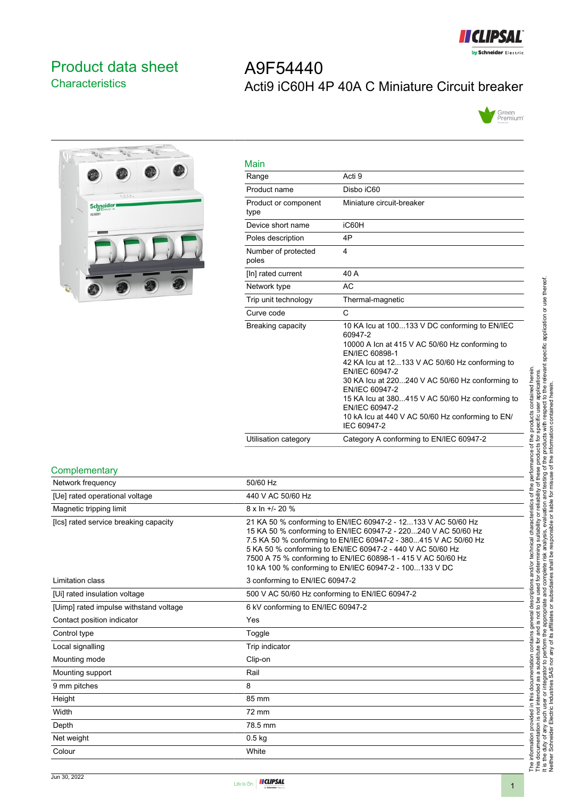

# <span id="page-0-0"></span>Product data sheet **Characteristics**

# A9F54440 Acti9 iC60H 4P 40A C Miniature Circuit breaker





| Main                         |                                                                                                                                                                                                                                                                                                                                                                                                               |
|------------------------------|---------------------------------------------------------------------------------------------------------------------------------------------------------------------------------------------------------------------------------------------------------------------------------------------------------------------------------------------------------------------------------------------------------------|
| Range                        | Acti 9                                                                                                                                                                                                                                                                                                                                                                                                        |
| Product name                 | Disbo iC60                                                                                                                                                                                                                                                                                                                                                                                                    |
| Product or component<br>type | Miniature circuit-breaker                                                                                                                                                                                                                                                                                                                                                                                     |
| Device short name            | iC60H                                                                                                                                                                                                                                                                                                                                                                                                         |
| Poles description            | 4P                                                                                                                                                                                                                                                                                                                                                                                                            |
| Number of protected<br>poles | 4                                                                                                                                                                                                                                                                                                                                                                                                             |
| [In] rated current           | 40 A                                                                                                                                                                                                                                                                                                                                                                                                          |
| Network type                 | <b>AC</b>                                                                                                                                                                                                                                                                                                                                                                                                     |
| Trip unit technology         | Thermal-magnetic                                                                                                                                                                                                                                                                                                                                                                                              |
| Curve code                   | C                                                                                                                                                                                                                                                                                                                                                                                                             |
| Breaking capacity            | 10 KA Icu at 100133 V DC conforming to EN/IEC<br>60947-2<br>10000 A Icn at 415 V AC 50/60 Hz conforming to<br>EN/IEC 60898-1<br>42 KA Icu at 12133 V AC 50/60 Hz conforming to<br>EN/IEC 60947-2<br>30 KA lcu at 220240 V AC 50/60 Hz conforming to<br>EN/IEC 60947-2<br>15 KA Icu at 380415 V AC 50/60 Hz conforming to<br>EN/IEC 60947-2<br>10 kA lcu at 440 V AC 50/60 Hz conforming to EN/<br>IEC 60947-2 |
| Utilisation category         | Category A conforming to EN/IEC 60947-2                                                                                                                                                                                                                                                                                                                                                                       |

#### **Complementary**

| Network frequency                      | 50/60 Hz                                                                                                                                                                                                                                                                                                                                                                                   |
|----------------------------------------|--------------------------------------------------------------------------------------------------------------------------------------------------------------------------------------------------------------------------------------------------------------------------------------------------------------------------------------------------------------------------------------------|
| [Ue] rated operational voltage         | 440 V AC 50/60 Hz                                                                                                                                                                                                                                                                                                                                                                          |
| Magnetic tripping limit                | $8 \times \ln +1$ - 20 %                                                                                                                                                                                                                                                                                                                                                                   |
| [Ics] rated service breaking capacity  | 21 KA 50 % conforming to EN/IEC 60947-2 - 12133 V AC 50/60 Hz<br>15 KA 50 % conforming to EN/IEC 60947-2 - 220240 V AC 50/60 Hz<br>7.5 KA 50 % conforming to EN/IEC 60947-2 - 380415 V AC 50/60 Hz<br>5 KA 50 % conforming to EN/IEC 60947-2 - 440 V AC 50/60 Hz<br>7500 A 75 % conforming to EN/IEC 60898-1 - 415 V AC 50/60 Hz<br>10 kA 100 % conforming to EN/IEC 60947-2 - 100133 V DC |
| Limitation class                       | 3 conforming to EN/IEC 60947-2                                                                                                                                                                                                                                                                                                                                                             |
| [Ui] rated insulation voltage          | 500 V AC 50/60 Hz conforming to EN/IEC 60947-2                                                                                                                                                                                                                                                                                                                                             |
| [Uimp] rated impulse withstand voltage | 6 kV conforming to EN/IEC 60947-2                                                                                                                                                                                                                                                                                                                                                          |
| Contact position indicator             | Yes                                                                                                                                                                                                                                                                                                                                                                                        |
| Control type                           | Toggle                                                                                                                                                                                                                                                                                                                                                                                     |
| Local signalling                       | Trip indicator                                                                                                                                                                                                                                                                                                                                                                             |
| Mounting mode                          | Clip-on                                                                                                                                                                                                                                                                                                                                                                                    |
| Mounting support                       | Rail                                                                                                                                                                                                                                                                                                                                                                                       |
| 9 mm pitches                           | 8                                                                                                                                                                                                                                                                                                                                                                                          |
| Height                                 | 85 mm                                                                                                                                                                                                                                                                                                                                                                                      |
| Width                                  | 72 mm                                                                                                                                                                                                                                                                                                                                                                                      |
| Depth                                  | 78.5 mm                                                                                                                                                                                                                                                                                                                                                                                    |
| Net weight                             | $0.5$ kg                                                                                                                                                                                                                                                                                                                                                                                   |
| Colour                                 | White                                                                                                                                                                                                                                                                                                                                                                                      |